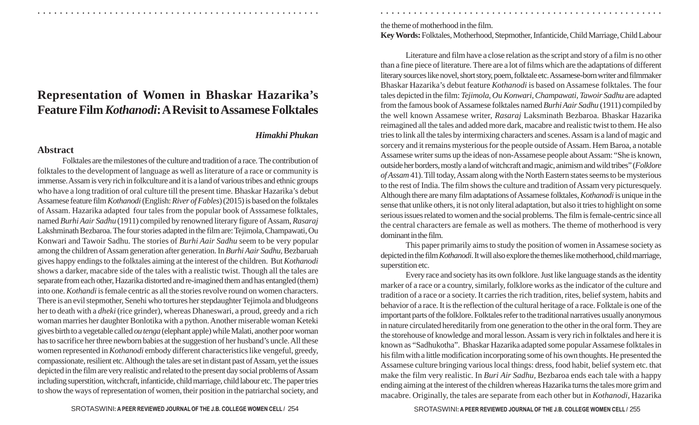## **Representation of Women in Bhaskar Hazarika' s Feature Film** *Kothanodi***: A Revisit to Assamese Folktales**

## *Himakhi Phukan*

○ ○ ○ ○ ○ ○ ○ ○ ○ ○ ○ ○ ○ ○ ○ ○ ○ ○ ○ ○ ○ ○ ○ ○ ○ ○ ○ ○ ○ ○ ○ ○ ○ ○ ○ ○ ○ ○ ○ ○ ○ ○ ○ ○ ○ ○ ○ ○ ○ ○ ○ ○ ○ ○ ○ ○ ○ ○ ○ ○ ○ ○ ○ ○ ○ ○ ○ ○ ○ ○ ○ ○ ○ ○ ○ ○ ○ ○ ○ ○ ○ ○ ○ ○ ○ ○ ○ ○ ○ ○ ○ ○ ○ ○ ○ ○ ○ ○ ○ ○ ○ ○

## **Abstract**

Folktales are the milestones of the culture and tradition of a race. The contribution of folktales to the development of language as well as literature of a race or community is immense. Assam is very rich in folkculture and it is a land of various tribes and ethnic groups who have a long tradition of oral culture till the present time. Bhaskar Hazarika's debut Assamese feature film *Kothanodi* (English: *River of Fables*) (2015) is based on the folktales of Assam. Hazarika adapted four tales from the popular book of Asssamese folktales, named *Burhi Aair Sadhu* (1911) compiled by renowned literary figure of Assam, *Rasaraj* Lakshminath Bezbaroa. The four stories adapted in the film are: Tejimola, Champawati, Ou Konwari and Tawoir Sadhu. The stories of *Burhi Aair Sadhu* seem to be very popular among the children of Assam generation after generation. In *Burhi Aair Sadhu,* Bezbaruah gives happy endings to the folktales aiming at the interest of the children. But *Kothanodi* shows a darker, macabre side of the tales with a realistic twist. Though all the tales are separate from each other, Hazarika distorted and re-imagined them and has entangled (them) into one. *Kothandi* is female centric as all the stories revolve round on women characters. There is an evil stepmother, Senehi who tortures her stepdaughter Tejimola and bludgeons her to death with a *dheki* (rice grinder), whereas Dhaneswari, a proud, greedy and a rich woman marries her daughter Bonlotika with a python. Another miserable woman Keteki gives birth to a vegetable called *ou tenga* (elephant apple) while Malati, another poor woman has to sacrifice her three newborn babies at the suggestion of her husband's uncle. All these women represented in *Kothanodi* embody different characteristics like vengeful, greedy, compassionate, resilient etc. Although the tales are set in distant past of Assam, yet the issues depicted in the film are very realistic and related to the present day social problems of Assam including superstition, witchcraft, infanticide, child marriage, child labour etc. The paper tries to show the ways of representation of women, their position in the patriarchal society, and the theme of motherhood in the film.

**Key Words:** Folktales, Motherhood, Stepmother, Infanticide, Child Marriage, Child Labour

Literature and film have a close relation as the script and story of a film is no other than a fine piece of literature. There are a lot of films which are the adaptations of different literary sources like novel, short story, poem, folktale etc. Assamese-born writer and filmmaker Bhaskar Hazarika's debut feature *Kothanodi* is based on Assamese folktales. The four tales depicted in the film: *Tejimola*, *Ou Konwari*, *Champawati, Tawoir Sadhu* are adapted from the famous book of Assamese folktales named *Burhi Aair Sadhu* (1911) compiled by the well known Assamese writer, *Rasaraj* Laksminath Bezbaroa. Bhaskar Hazarika reimagined all the tales and added more dark, macabre and realistic twist to them. He also tries to link all the tales by intermixing characters and scenes. Assam is a land of magic and sorcery and it remains mysterious for the people outside of Assam. Hem Baroa, a notable Assamese writer sums up the ideas of non-Assamese people about Assam: "She is known, outside her borders, mostly a land of witchcraft and magic, animism and wild tribes" (*Folklore of Assam* 41). Till today, Assam along with the North Eastern states seems to be mysterious to the rest of India. The film shows the culture and tradition of Assam very picturesquely. Although there are many film adaptations of Assamese folktales, *Kothanodi* is unique in the sense that unlike others, it is not only literal adaptation, but also it tries to highlight on some serious issues related to women and the social problems. The film is female-centric since all the central characters are female as well as mothers. The theme of motherhood is very dominant in the film.

This paper primarily aims to study the position of women in Assamese society as depicted in the film *Kothanodi*. It will also explore the themes like motherhood, child marriage, superstition etc.

Every race and society has its own folklore. Just like language stands as the identity marker of a race or a country, similarly, folklore works as the indicator of the culture and tradition of a race or a society. It carries the rich tradition, rites, belief system, habits and behavior of a race. It is the reflection of the cultural heritage of a race. Folktale is one of the important parts of the folklore. Folktales refer to the traditional narratives usually anonymous in nature circulated hereditarily from one generation to the other in the oral form. They are the storehouse of knowledge and moral lesson. Assam is very rich in folktales and here it is known as "Sadhukotha". Bhaskar Hazarika adapted some popular Assamese folktales in his film with a little modification incorporating some of his own thoughts. He presented the Assamese culture bringing various local things: dress, food habit, belief system etc. that make the film very realistic. In *Buri Air Sadhu,* Bezbaroa ends each tale with a happy ending aiming at the interest of the children whereas Hazarika turns the tales more grim and macabre. Originally, the tales are separate from each other but in *Kothanodi,* Hazarika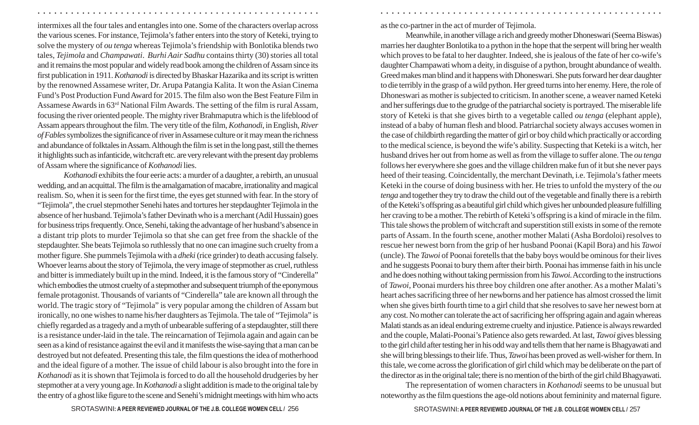intermixes all the four tales and entangles into one. Some of the characters overlap across the various scenes. For instance, Tejimola's father enters into the story of Keteki, trying to solve the mystery of *ou tenga* whereas Tejimola's friendship with Bonlotika blends two tales, *Tejimola* and *Champawati*. *Burhi Aair Sadhu* contains thirty (30) stories all total and it remains the most popular and widely read book among the children of Assam since its first publication in 1911. *Kothanodi* is directed by Bhaskar Hazarika and its script is written by the renowned Assamese writer, Dr. Arupa Patangia Kalita. It won the Asian Cinema Fund's Post Production Fund Award for 2015. The film also won the Best Feature Film in Assamese Awards in 63rd National Film Awards. The setting of the film is rural Assam, focusing the river oriented people. The mighty river Brahmaputra which is the lifeblood of Assam appears throughout the film. The very title of the film, *Kothanodi*, in English, *River of Fables* symbolizes the significance of river in Assamese culture or it may mean the richness and abundance of folktales in Assam. Although the film is set in the long past, still the themes it highlights such as infanticide, witchcraft etc. are very relevant with the present day problems of Assam where the significance of *Kothanodi* lies.

*Kothanodi* exhibits the four eerie acts: a murder of a daughter, a rebirth, an unusual wedding, and an acquittal. The film is the amalgamation of macabre, irrationality and magical realism. So, when it is seen for the first time, the eyes get stunned with fear. In the story of "Tejimola", the cruel stepmother Senehi hates and tortures her stepdaughter Tejimola in the absence of her husband. Tejimola's father Devinath who is a merchant (Adil Hussain) goes for business trips frequently. Once, Senehi, taking the advantage of her husband's absence in a distant trip plots to murder Tejimola so that she can get free from the shackle of the stepdaughter. She beats Tejimola so ruthlessly that no one can imagine such cruelty from a mother figure. She pummels Tejimola with a *dheki* (rice grinder) to death accusing falsely. Whoever learns about the story of Tejimola, the very image of stepmother as cruel, ruthless and bitter is immediately built up in the mind. Indeed, it is the famous story of "Cinderella" which embodies the utmost cruelty of a stepmother and subsequent triumph of the eponymous female protagonist. Thousands of variants of "Cinderella" tale are known all through the world. The tragic story of "Tejimola" is very popular among the children of Assam but ironically, no one wishes to name his/her daughters as Tejimola. The tale of "Tejimola" is chiefly regarded as a tragedy and a myth of unbearable suffering of a stepdaughter, still there is a resistance under-laid in the tale. The reincarnation of Tejimola again and again can be seen as a kind of resistance against the evil and it manifests the wise-saying that a man can be destroyed but not defeated. Presenting this tale, the film questions the idea of motherhood and the ideal figure of a mother. The issue of child labour is also brought into the fore in *Kothanodi* as it is shown that Tejimola is forced to do all the household drudgeries by her stepmother at a very young age. In *Kothanodi* a slight addition is made to the original tale by the entry of a ghost like figure to the scene and Senehi's midnight meetings with him who acts as the co-partner in the act of murder of Tejimola.

○ ○ ○ ○ ○ ○ ○ ○ ○ ○ ○ ○ ○ ○ ○ ○ ○ ○ ○ ○ ○ ○ ○ ○ ○ ○ ○ ○ ○ ○ ○ ○ ○ ○ ○ ○ ○ ○ ○ ○ ○ ○ ○ ○ ○ ○ ○ ○ ○ ○ ○ ○ ○ ○ ○ ○ ○ ○ ○ ○ ○ ○ ○ ○ ○ ○ ○ ○ ○ ○ ○ ○ ○ ○ ○ ○ ○ ○ ○ ○ ○ ○ ○ ○ ○ ○ ○ ○ ○ ○ ○ ○ ○ ○ ○ ○ ○ ○ ○ ○ ○ ○

Meanwhile, in another village a rich and greedy mother Dhoneswari (Seema Biswas) marries her daughter Bonlotika to a python in the hope that the serpent will bring her wealth which proves to be fatal to her daughter. Indeed, she is jealous of the fate of her co-wife's daughter Champawati whom a deity, in disguise of a python, brought abundance of wealth. Greed makes man blind and it happens with Dhoneswari. She puts forward her dear daughter to die terribly in the grasp of a wild python. Her greed turns into her enemy. Here, the role of Dhoneswari as mother is subjected to criticism. In another scene, a weaver named Keteki and her sufferings due to the grudge of the patriarchal society is portrayed. The miserable life story of Keteki is that she gives birth to a vegetable called *ou tenga* (elephant apple), instead of a baby of human flesh and blood. Patriarchal society always accuses women in the case of childbirth regarding the matter of girl or boy child which practically or according to the medical science, is beyond the wife's ability. Suspecting that Keteki is a witch, her husband drives her out from home as well as from the village to suffer alone. The *ou tenga* follows her everywhere she goes and the village children make fun of it but she never pays heed of their teasing. Coincidentally, the merchant Devinath, i.e. Tejimola's father meets Keteki in the course of doing business with her. He tries to unfold the mystery of the *ou tenga* and together they try to draw the child out of the vegetable and finally there is a rebirth of the Keteki's offspring as a beautiful girl child which gives her unbounded pleasure fulfilling her craving to be a mother. The rebirth of Keteki's offspring is a kind of miracle in the film. This tale shows the problem of witchcraft and superstition still exists in some of the remote parts of Assam. In the fourth scene, another mother Malati (Asha Bordoloi) resolves to rescue her newest born from the grip of her husband Poonai (Kapil Bora) and his *Tawoi* (uncle). The *Tawoi* of Poonai foretells that the baby boys would be ominous for their lives and he suggests Poonai to bury them after their birth. Poonai has immense faith in his uncle and he does nothing without taking permission from his *Tawoi*. According to the instructions of *Tawoi*, Poonai murders his three boy children one after another. As a mother Malati's heart aches sacrificing three of her newborns and her patience has almost crossed the limit when she gives birth fourth time to a girl child that she resolves to save her newest born at any cost. No mother can tolerate the act of sacrificing her offspring again and again whereas Malati stands as an ideal enduring extreme cruelty and injustice. Patience is always rewarded and the couple, Malati-Poonai's Patience also gets rewarded. At last, *Tawoi* gives blessing to the girl child after testing her in his odd way and tells them that her name is Bhagyawati and she will bring blessings to their life. Thus, *Tawoi* has been proved as well-wisher for them. In this tale, we come across the glorification of girl child which may be deliberate on the part of the director as in the original tale; there is no mention of the birth of the girl child Bhagyawati.

The representation of women characters in *Kothanodi* seems to be unusual but noteworthy as the film questions the age-old notions about femininity and maternal figure.